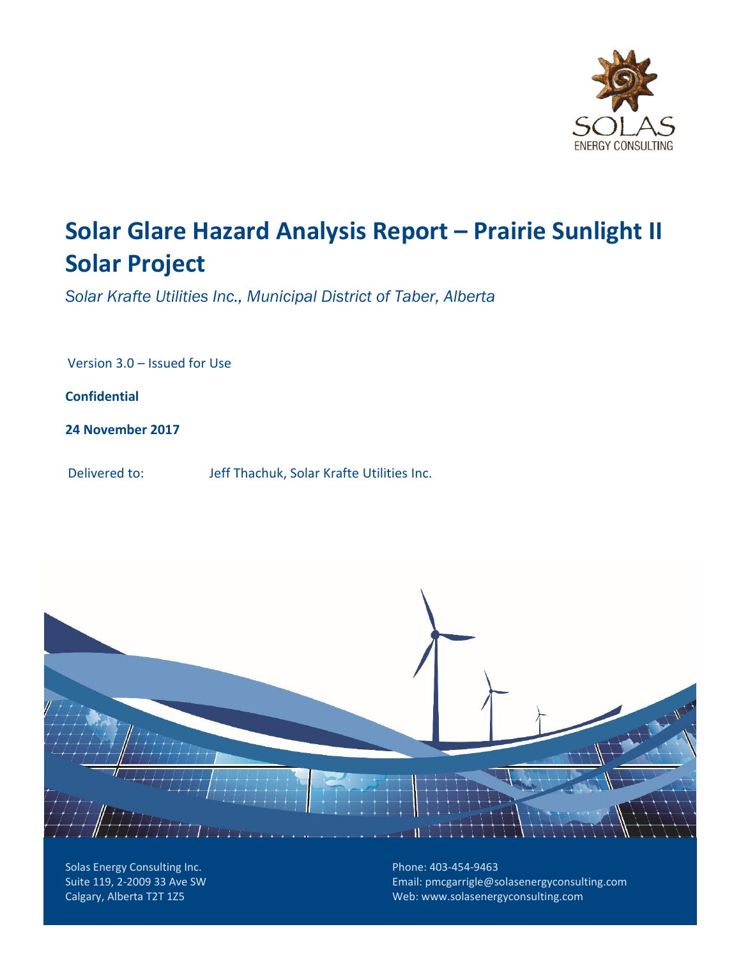

# **Solar Glare Hazard Analysis Report – Prairie Sunlight II Solar Project**

*Solar Krafte Utilities Inc., Municipal District of Taber, Alberta*

Version 3.0 – Issued for Use

**Confidential**

**24 November 2017**

Delivered to: Jeff Thachuk, Solar Krafte Utilities Inc.



Solas Energy Consulting Inc. Suite 119, 2-2009 33 Ave SW Calgary, Alberta T2T 1Z5

Phone: 403-454-9463 Email: [pmcgarrigle@solasenergyconsulting.com](mailto:pmcgarrigle@solasenergyconsulting.com) Web: www.solasenergyconsulting.com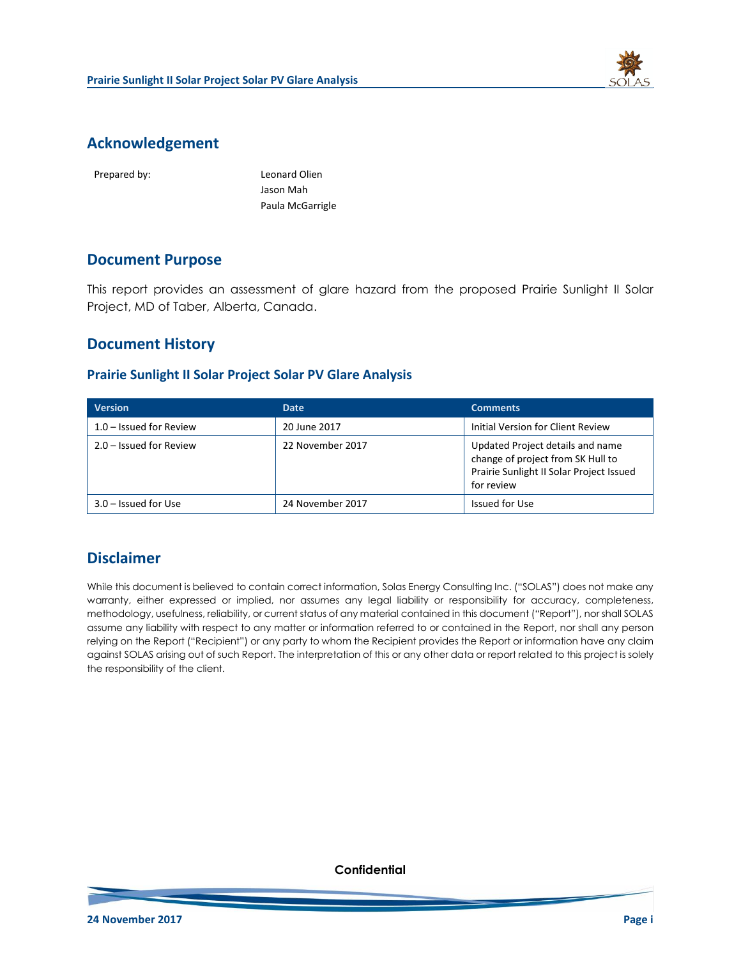

### **Acknowledgement**

Prepared by: Leonard Olien Jason Mah Paula McGarrigle

### **Document Purpose**

This report provides an assessment of glare hazard from the proposed Prairie Sunlight II Solar Project, MD of Taber, Alberta, Canada.

### **Document History**

#### **Prairie Sunlight II Solar Project Solar PV Glare Analysis**

| <b>Version</b>            | <b>Date</b>      | <b>Comments</b>                                                                                                                 |
|---------------------------|------------------|---------------------------------------------------------------------------------------------------------------------------------|
| $1.0 -$ Issued for Review | 20 June 2017     | Initial Version for Client Review                                                                                               |
| $2.0 -$ Issued for Review | 22 November 2017 | Updated Project details and name<br>change of project from SK Hull to<br>Prairie Sunlight II Solar Project Issued<br>for review |
| $3.0 -$ Issued for Use    | 24 November 2017 | Issued for Use                                                                                                                  |

### **Disclaimer**

While this document is believed to contain correct information, Solas Energy Consulting Inc. ("SOLAS") does not make any warranty, either expressed or implied, nor assumes any legal liability or responsibility for accuracy, completeness, methodology, usefulness, reliability, or current status of any material contained in this document ("Report"), nor shall SOLAS assume any liability with respect to any matter or information referred to or contained in the Report, nor shall any person relying on the Report ("Recipient") or any party to whom the Recipient provides the Report or information have any claim against SOLAS arising out of such Report. The interpretation of this or any other data or report related to this project is solely the responsibility of the client.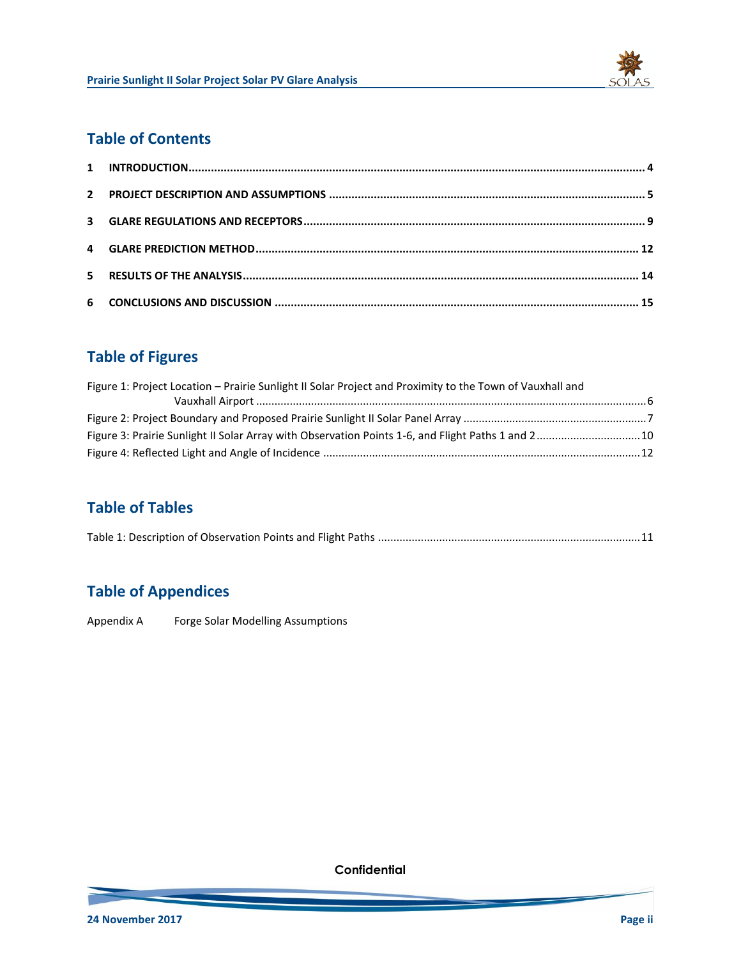

# **Table of Contents**

# **Table of Figures**

| Figure 1: Project Location – Prairie Sunlight II Solar Project and Proximity to the Town of Vauxhall and |  |
|----------------------------------------------------------------------------------------------------------|--|
|                                                                                                          |  |
|                                                                                                          |  |
| Figure 3: Prairie Sunlight II Solar Array with Observation Points 1-6, and Flight Paths 1 and 2 10       |  |
|                                                                                                          |  |

# **Table of Tables**

|--|--|

# **Table of Appendices**

Appendix A Forge Solar Modelling Assumptions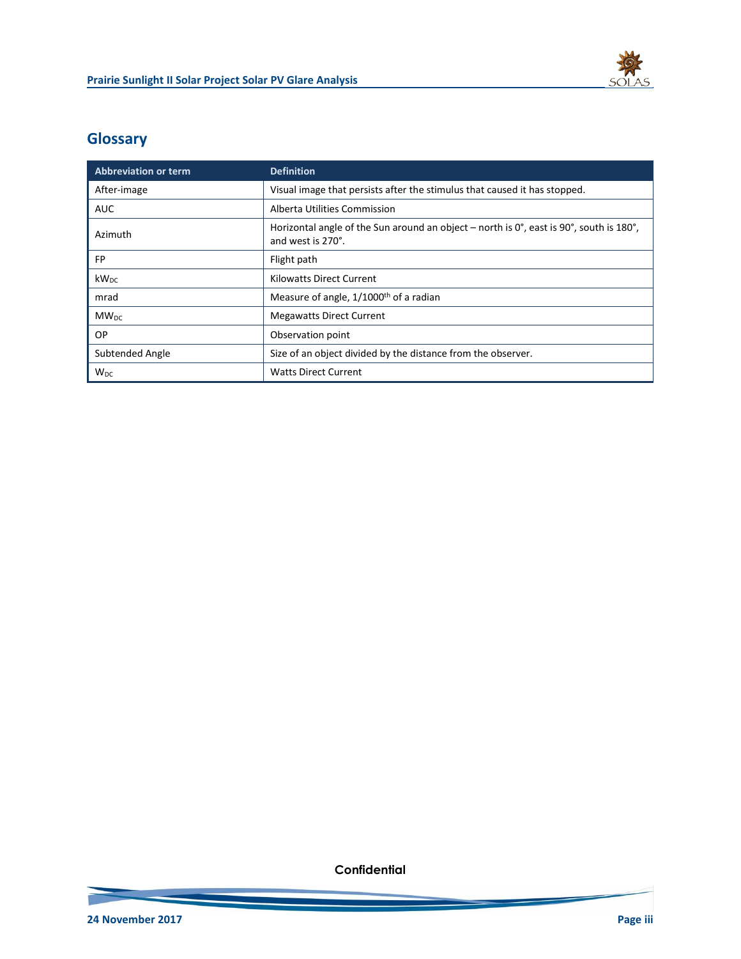

# **Glossary**

l.

| <b>Abbreviation or term</b> | <b>Definition</b>                                                                                                                      |  |
|-----------------------------|----------------------------------------------------------------------------------------------------------------------------------------|--|
| After-image                 | Visual image that persists after the stimulus that caused it has stopped.                                                              |  |
| <b>AUC</b>                  | Alberta Utilities Commission                                                                                                           |  |
| Azimuth                     | Horizontal angle of the Sun around an object – north is $0^\circ$ , east is 90 $^\circ$ , south is 180 $^\circ$ ,<br>and west is 270°. |  |
| FP                          | Flight path                                                                                                                            |  |
| $kW_{DC}$                   | <b>Kilowatts Direct Current</b>                                                                                                        |  |
| mrad                        | Measure of angle, 1/1000 <sup>th</sup> of a radian                                                                                     |  |
| $MW_{DC}$                   | <b>Megawatts Direct Current</b>                                                                                                        |  |
| OP.                         | Observation point                                                                                                                      |  |
| Subtended Angle             | Size of an object divided by the distance from the observer.                                                                           |  |
| W <sub>DC</sub>             | <b>Watts Direct Current</b>                                                                                                            |  |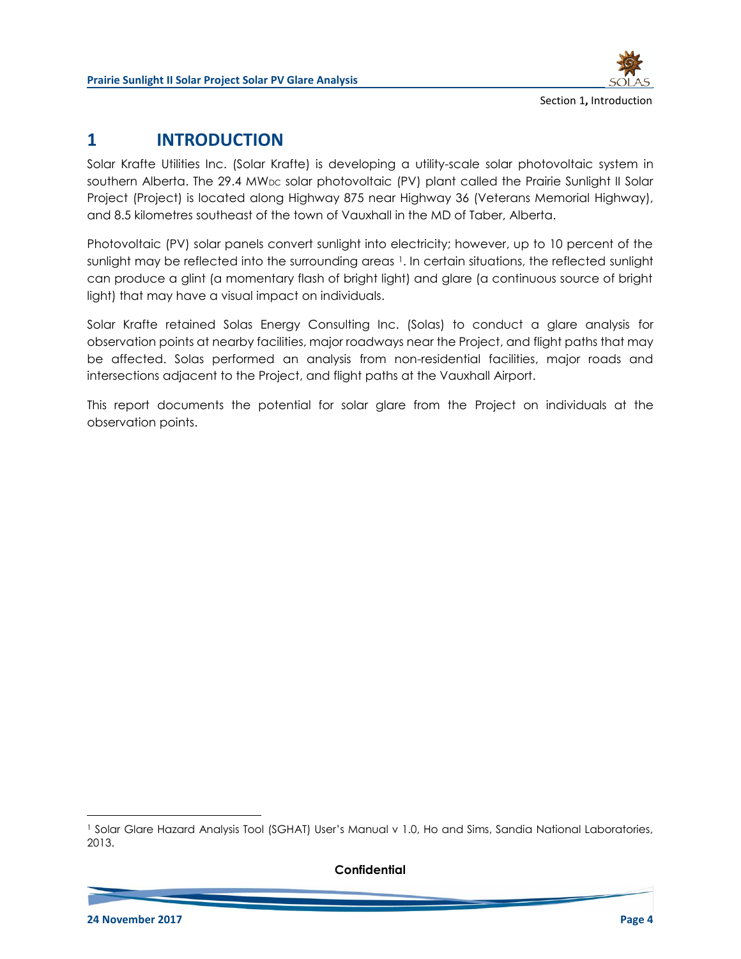

# **1 INTRODUCTION**

Solar Krafte Utilities Inc. (Solar Krafte) is developing a utility-scale solar photovoltaic system in southern Alberta. The  $29.4 \text{ MW}_{DC}$  solar photovoltaic (PV) plant called the Prairie Sunlight II Solar Project (Project) is located along Highway 875 near Highway 36 (Veterans Memorial Highway), and 8.5 kilometres southeast of the town of Vauxhall in the MD of Taber, Alberta.

Photovoltaic (PV) solar panels convert sunlight into electricity; however, up to 10 percent of the sunlight may be reflected into the surrounding areas 1. In certain situations, the reflected sunlight can produce a glint (a momentary flash of bright light) and glare (a continuous source of bright light) that may have a visual impact on individuals.

Solar Krafte retained Solas Energy Consulting Inc. (Solas) to conduct a glare analysis for observation points at nearby facilities, major roadways near the Project, and flight paths that may be affected. Solas performed an analysis from non-residential facilities, major roads and intersections adjacent to the Project, and flight paths at the Vauxhall Airport.

This report documents the potential for solar glare from the Project on individuals at the observation points.

<sup>1</sup> Solar Glare Hazard Analysis Tool (SGHAT) User's Manual v 1.0, Ho and Sims, Sandia National Laboratories, 2013.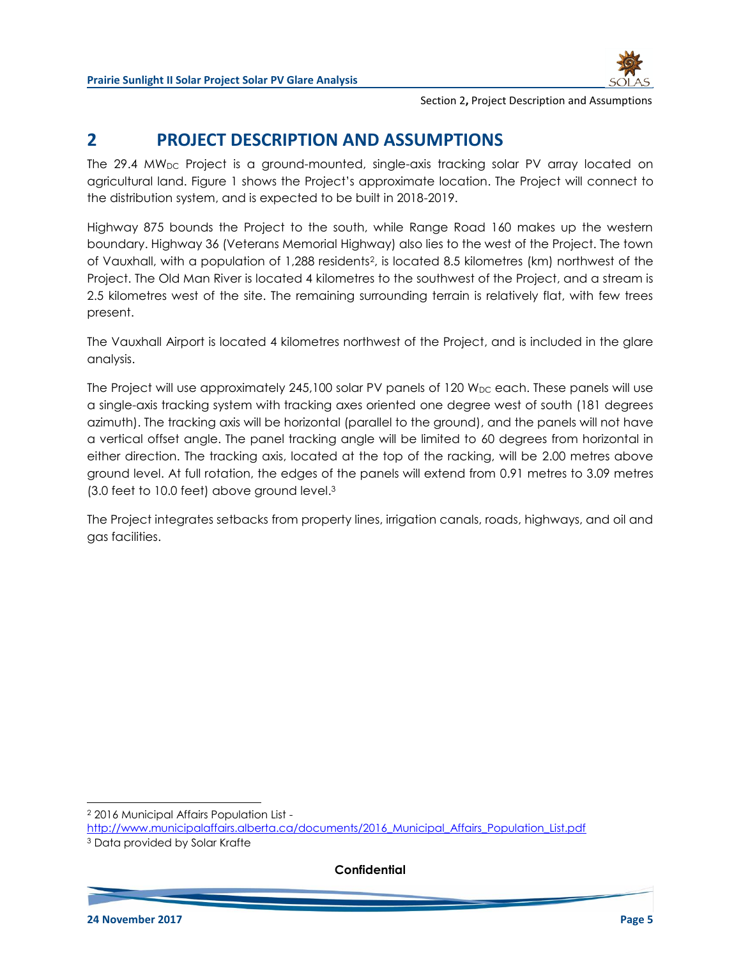

### **2 PROJECT DESCRIPTION AND ASSUMPTIONS**

The 29.4 MW<sub>DC</sub> Project is a ground-mounted, single-axis tracking solar PV array located on agricultural land. [Figure 1](#page-6-0) shows the Project's approximate location. The Project will connect to the distribution system, and is expected to be built in 2018-2019.

Highway 875 bounds the Project to the south, while Range Road 160 makes up the western boundary. Highway 36 (Veterans Memorial Highway) also lies to the west of the Project. The town of Vauxhall, with a population of 1,288 residents2, is located 8.5 kilometres (km) northwest of the Project. The Old Man River is located 4 kilometres to the southwest of the Project, and a stream is 2.5 kilometres west of the site. The remaining surrounding terrain is relatively flat, with few trees present.

The Vauxhall Airport is located 4 kilometres northwest of the Project, and is included in the glare analysis.

The Project will use approximately 245,100 solar PV panels of 120  $W_{DC}$  each. These panels will use a single-axis tracking system with tracking axes oriented one degree west of south (181 degrees azimuth). The tracking axis will be horizontal (parallel to the ground), and the panels will not have a vertical offset angle. The panel tracking angle will be limited to 60 degrees from horizontal in either direction. The tracking axis, located at the top of the racking, will be 2.00 metres above ground level. At full rotation, the edges of the panels will extend from 0.91 metres to 3.09 metres (3.0 feet to 10.0 feet) above ground level. 3

The Project integrates setbacks from property lines, irrigation canals, roads, highways, and oil and gas facilities.

l <sup>2</sup> 2016 Municipal Affairs Population List http://www.municipalaffairs.alberta.ca/documents/2016 Municipal Affairs\_Population\_List.pdf <sup>3</sup> Data provided by Solar Krafte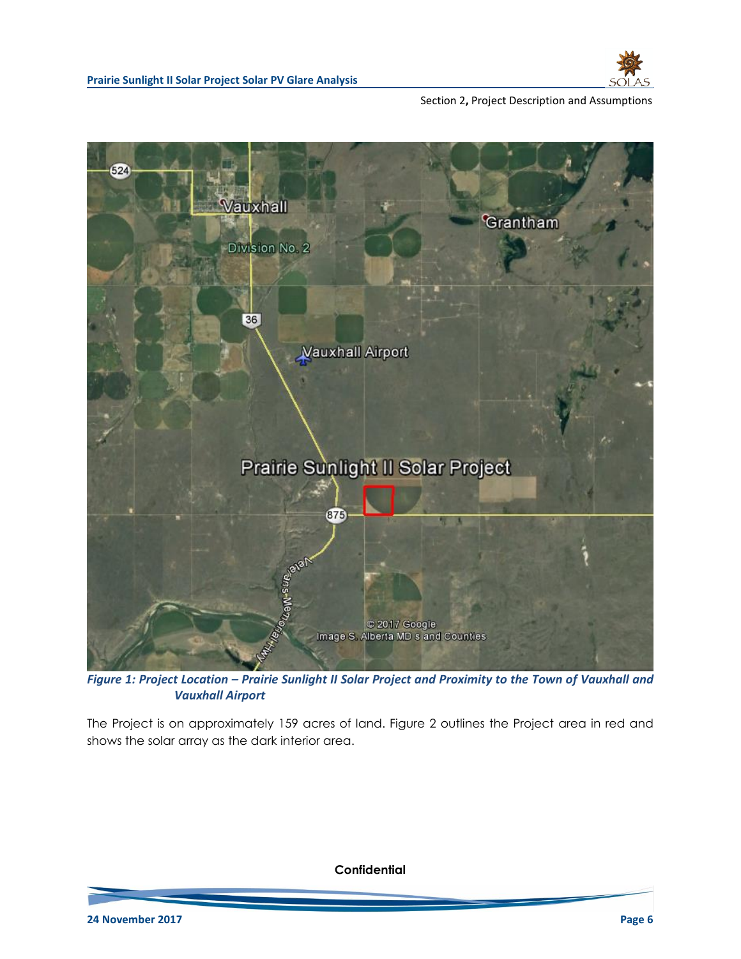



<span id="page-6-0"></span>*Figure 1: Project Location – Prairie Sunlight II Solar Project and Proximity to the Town of Vauxhall and Vauxhall Airport*

The Project is on approximately 159 acres of land. [Figure 2](#page-7-0) outlines the Project area in red and shows the solar array as the dark interior area.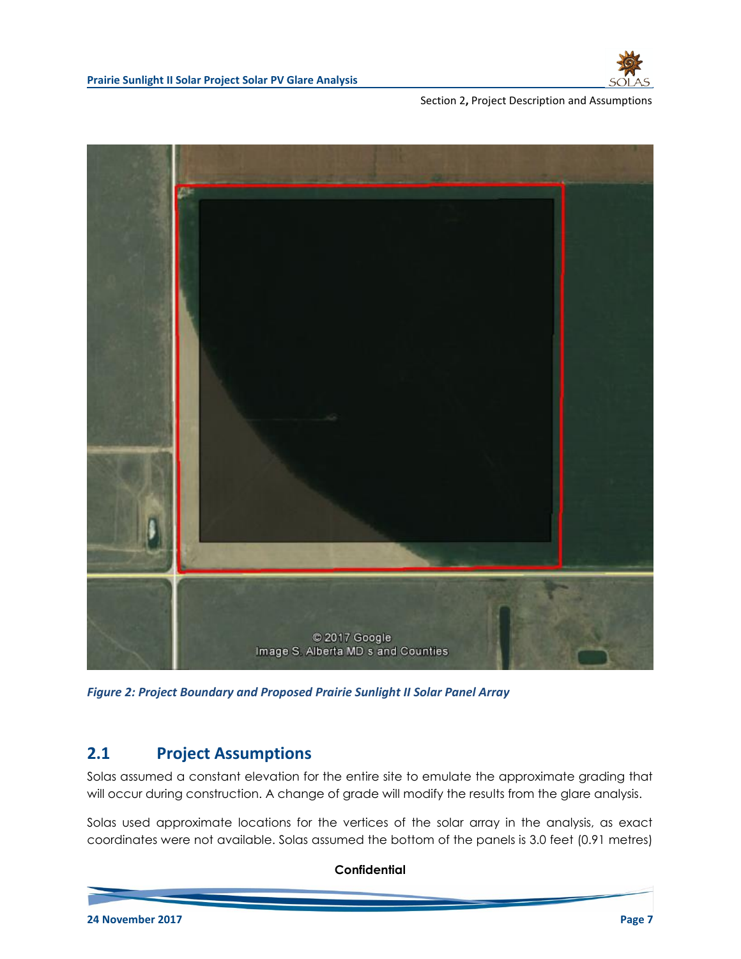



*Figure 2: Project Boundary and Proposed Prairie Sunlight II Solar Panel Array*

### <span id="page-7-0"></span>**2.1 Project Assumptions**

Solas assumed a constant elevation for the entire site to emulate the approximate grading that will occur during construction. A change of grade will modify the results from the glare analysis.

Solas used approximate locations for the vertices of the solar array in the analysis, as exact coordinates were not available. Solas assumed the bottom of the panels is 3.0 feet (0.91 metres)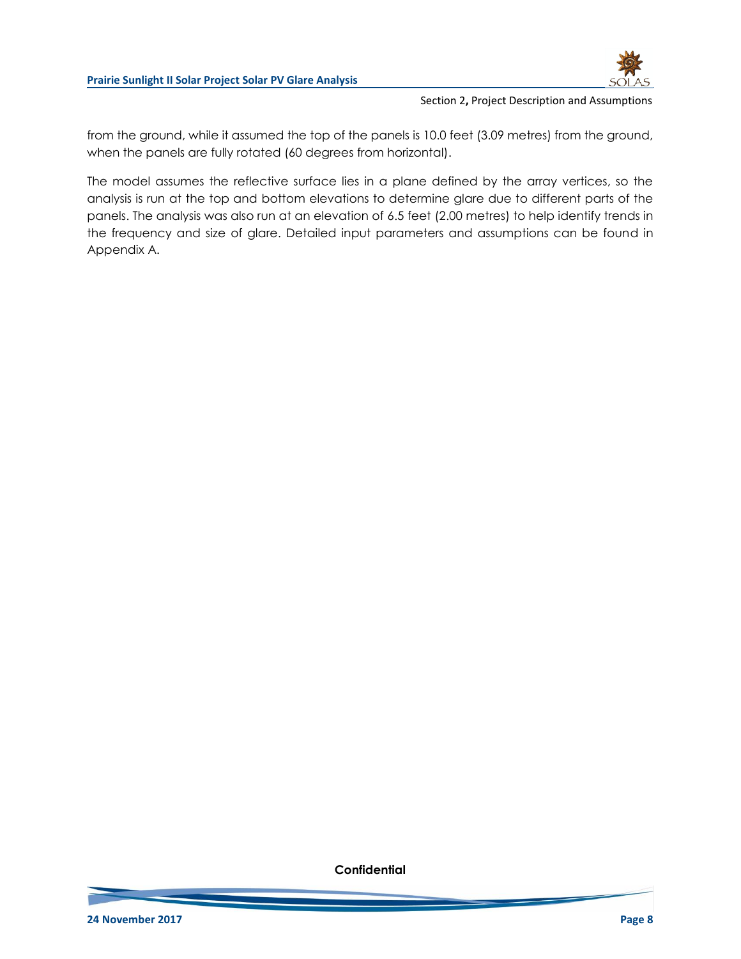

from the ground, while it assumed the top of the panels is 10.0 feet (3.09 metres) from the ground, when the panels are fully rotated (60 degrees from horizontal).

The model assumes the reflective surface lies in a plane defined by the array vertices, so the analysis is run at the top and bottom elevations to determine glare due to different parts of the panels. The analysis was also run at an elevation of 6.5 feet (2.00 metres) to help identify trends in the frequency and size of glare. Detailed input parameters and assumptions can be found in Appendix A.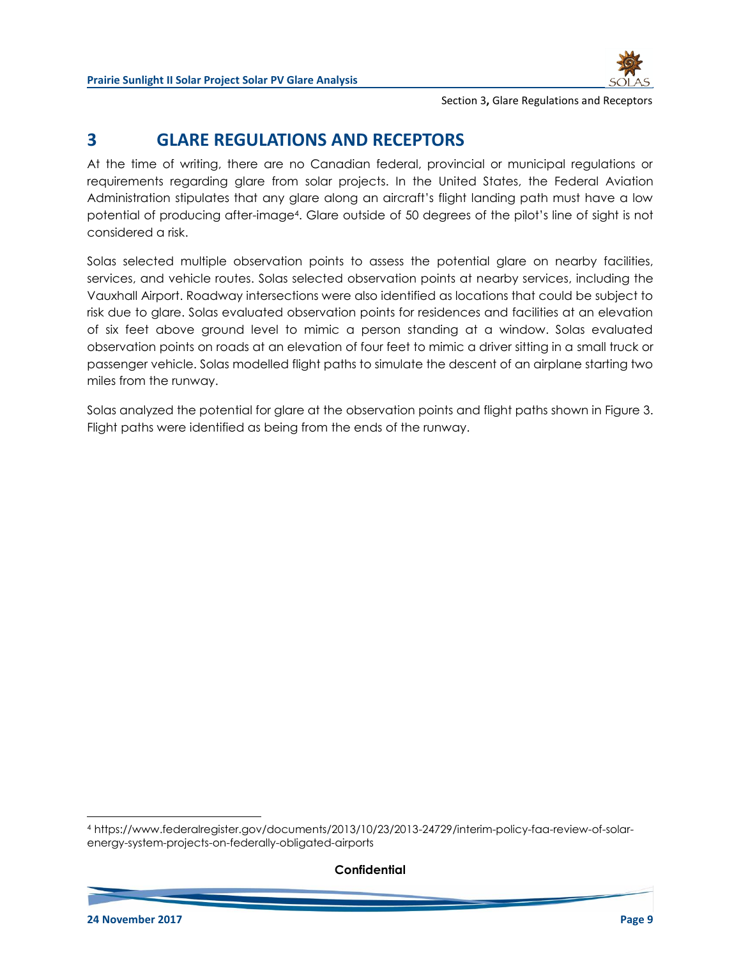

Section 3**,** Glare Regulations and Receptors

# **3 GLARE REGULATIONS AND RECEPTORS**

At the time of writing, there are no Canadian federal, provincial or municipal regulations or requirements regarding glare from solar projects. In the United States, the Federal Aviation Administration stipulates that any glare along an aircraft's flight landing path must have a low potential of producing after-image4. Glare outside of 50 degrees of the pilot's line of sight is not considered a risk.

Solas selected multiple observation points to assess the potential glare on nearby facilities, services, and vehicle routes. Solas selected observation points at nearby services, including the Vauxhall Airport. Roadway intersections were also identified as locations that could be subject to risk due to glare. Solas evaluated observation points for residences and facilities at an elevation of six feet above ground level to mimic a person standing at a window. Solas evaluated observation points on roads at an elevation of four feet to mimic a driver sitting in a small truck or passenger vehicle. Solas modelled flight paths to simulate the descent of an airplane starting two miles from the runway.

Solas analyzed the potential for glare at the observation points and flight paths shown in [Figure 3.](#page-10-0) Flight paths were identified as being from the ends of the runway.

<sup>4</sup> https://www.federalregister.gov/documents/2013/10/23/2013-24729/interim-policy-faa-review-of-solarenergy-system-projects-on-federally-obligated-airports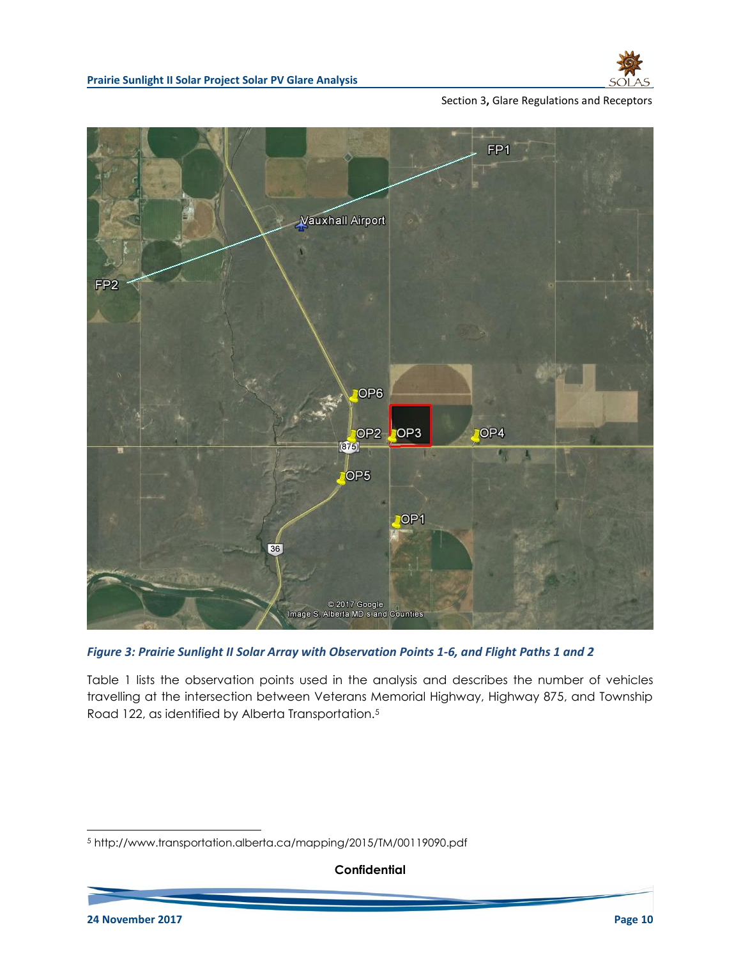

#### Section 3**,** Glare Regulations and Receptors



#### <span id="page-10-0"></span>*Figure 3: Prairie Sunlight II Solar Array with Observation Points 1-6, and Flight Paths 1 and 2*

[Table 1](#page-11-0) lists the observation points used in the analysis and describes the number of vehicles travelling at the intersection between Veterans Memorial Highway, Highway 875, and Township Road 122, as identified by Alberta Transportation.<sup>5</sup>

**Confidential**

<sup>5</sup> http://www.transportation.alberta.ca/mapping/2015/TM/00119090.pdf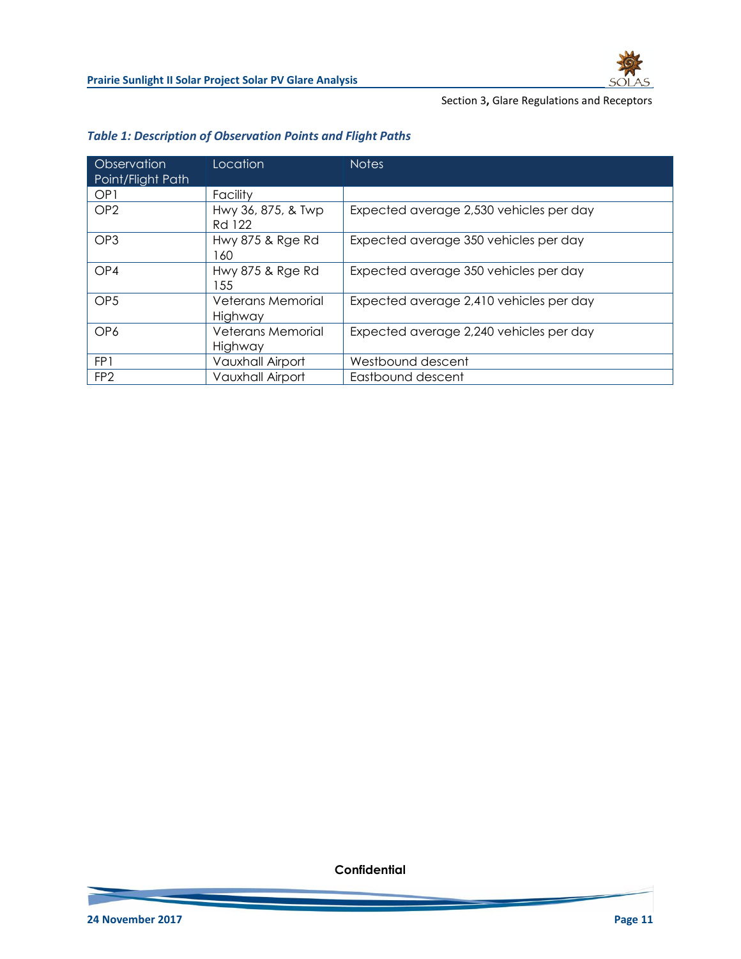

#### Section 3**,** Glare Regulations and Receptors

| Observation<br>Point/Flight Path | Location                     | <b>Notes</b>                            |
|----------------------------------|------------------------------|-----------------------------------------|
| OP <sub>1</sub>                  | Facility                     |                                         |
| OP <sub>2</sub>                  | Hwy 36, 875, & Twp<br>Rd 122 | Expected average 2,530 vehicles per day |
| OP <sub>3</sub>                  | Hwy 875 & Rge Rd<br>160      | Expected average 350 vehicles per day   |
| OP4                              | Hwy 875 & Rge Rd<br>55       | Expected average 350 vehicles per day   |
| OP <sub>5</sub>                  | Veterans Memorial<br>Highway | Expected average 2,410 vehicles per day |
| OP <sub>6</sub>                  | Veterans Memorial<br>Highway | Expected average 2,240 vehicles per day |
| FP1                              | Vauxhall Airport             | Westbound descent                       |
| FP <sub>2</sub>                  | <b>Vauxhall Airport</b>      | Eastbound descent                       |

### <span id="page-11-0"></span>*Table 1: Description of Observation Points and Flight Paths*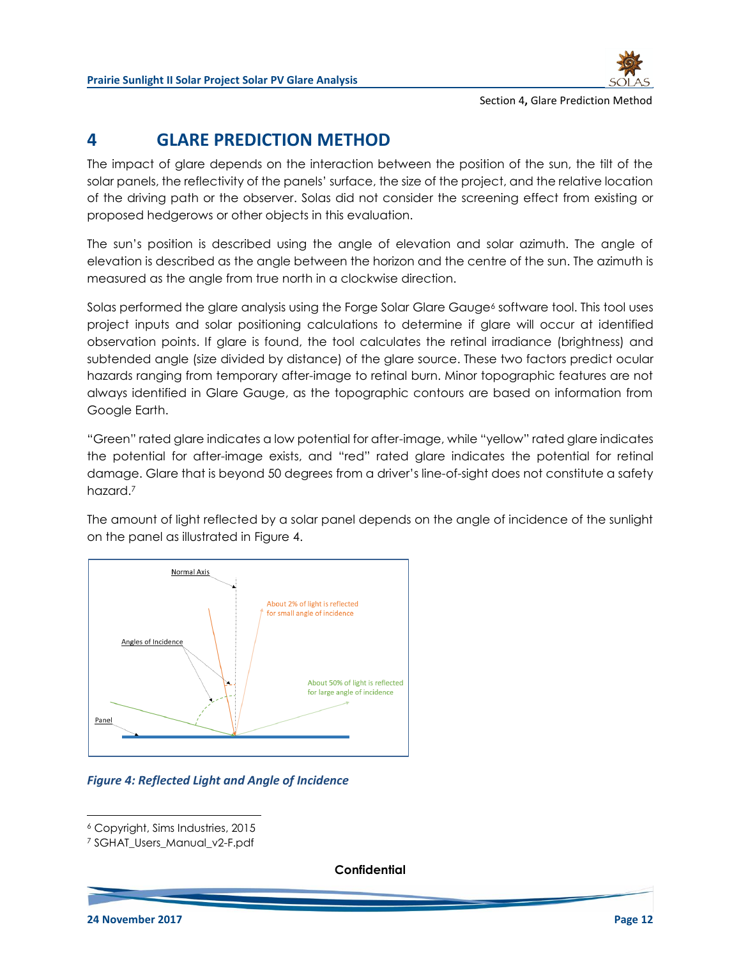

Section 4**,** Glare Prediction Method

# **4 GLARE PREDICTION METHOD**

The impact of glare depends on the interaction between the position of the sun, the tilt of the solar panels, the reflectivity of the panels' surface, the size of the project, and the relative location of the driving path or the observer. Solas did not consider the screening effect from existing or proposed hedgerows or other objects in this evaluation.

The sun's position is described using the angle of elevation and solar azimuth. The angle of elevation is described as the angle between the horizon and the centre of the sun. The azimuth is measured as the angle from true north in a clockwise direction.

Solas performed the glare analysis using the Forge Solar Glare Gauge<sup>6</sup> software tool. This tool uses project inputs and solar positioning calculations to determine if glare will occur at identified observation points. If glare is found, the tool calculates the retinal irradiance (brightness) and subtended angle (size divided by distance) of the glare source. These two factors predict ocular hazards ranging from temporary after-image to retinal burn. Minor topographic features are not always identified in Glare Gauge, as the topographic contours are based on information from Google Earth.

"Green" rated glare indicates a low potential for after-image, while "yellow" rated glare indicates the potential for after-image exists, and "red" rated glare indicates the potential for retinal damage. Glare that is beyond 50 degrees from a driver's line-of-sight does not constitute a safety hazard.<sup>7</sup>

The amount of light reflected by a solar panel depends on the angle of incidence of the sunlight on the panel as illustrated in [Figure 4.](#page-12-0)



<span id="page-12-0"></span>*Figure 4: Reflected Light and Angle of Incidence*

**Confidential**

<sup>6</sup> Copyright, Sims Industries, 2015

<sup>7</sup> SGHAT\_Users\_Manual\_v2-F.pdf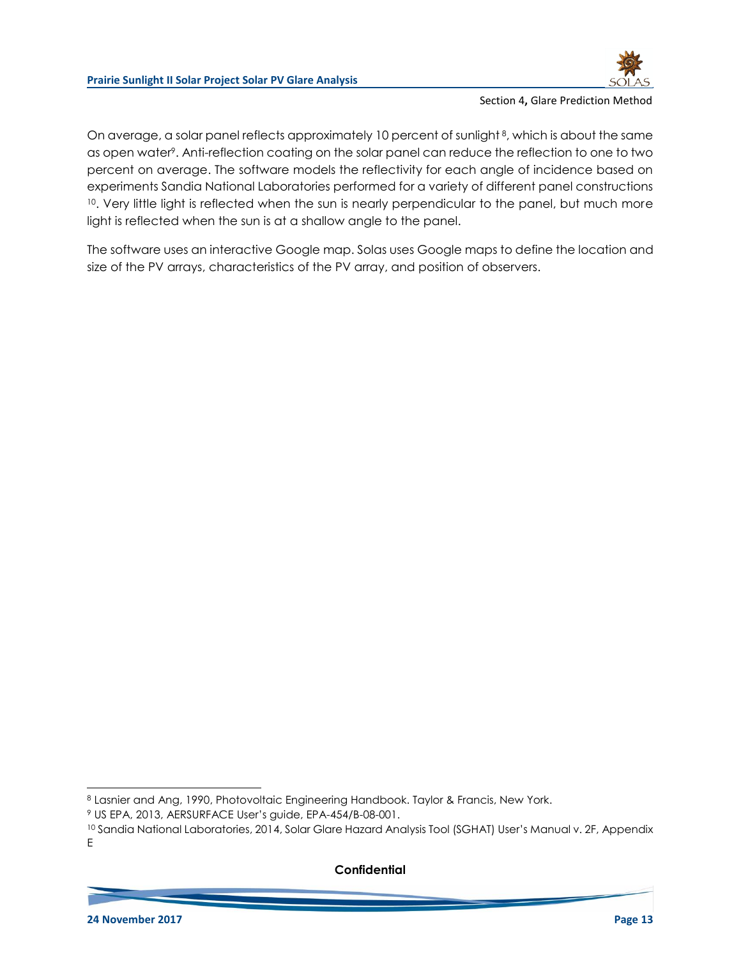Section 4**,** Glare Prediction Method

On average, a solar panel reflects approximately 10 percent of sunlight<sup>8</sup>, which is about the same as open water<sup>9</sup>. Anti-reflection coating on the solar panel can reduce the reflection to one to two percent on average. The software models the reflectivity for each angle of incidence based on experiments Sandia National Laboratories performed for a variety of different panel constructions <sup>10</sup>. Very little light is reflected when the sun is nearly perpendicular to the panel, but much more light is reflected when the sun is at a shallow angle to the panel.

The software uses an interactive Google map. Solas uses Google maps to define the location and size of the PV arrays, characteristics of the PV array, and position of observers.

#### **Confidential**

<sup>8</sup> Lasnier and Ang, 1990, Photovoltaic Engineering Handbook. Taylor & Francis, New York.

<sup>9</sup> US EPA, 2013, AERSURFACE User's guide, EPA-454/B-08-001.

<sup>&</sup>lt;sup>10</sup> Sandia National Laboratories, 2014, Solar Glare Hazard Analysis Tool (SGHAT) User's Manual v. 2F, Appendix E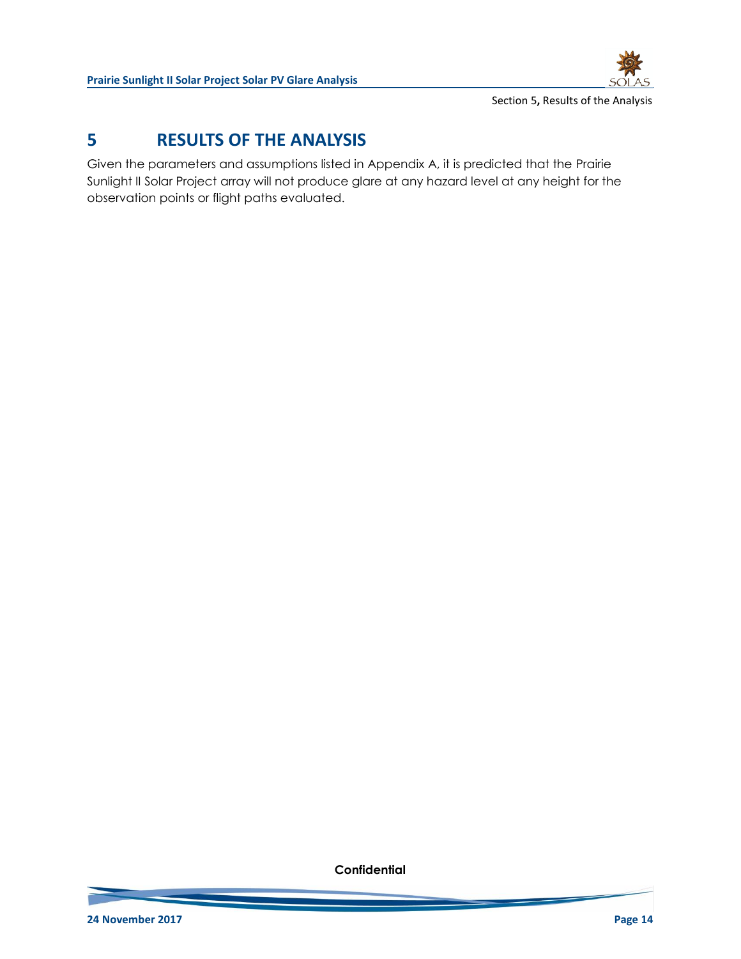

Section 5**,** Results of the Analysis

# **5 RESULTS OF THE ANALYSIS**

Given the parameters and assumptions listed in Appendix A, it is predicted that the Prairie Sunlight II Solar Project array will not produce glare at any hazard level at any height for the observation points or flight paths evaluated.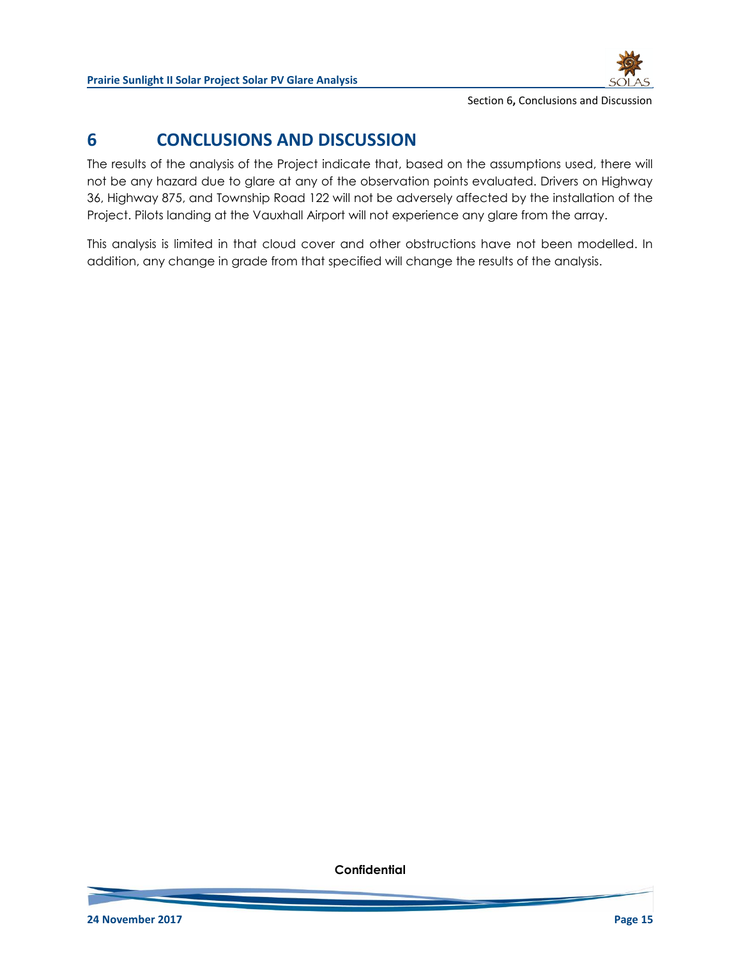

Section 6**,** Conclusions and Discussion

# **6 CONCLUSIONS AND DISCUSSION**

The results of the analysis of the Project indicate that, based on the assumptions used, there will not be any hazard due to glare at any of the observation points evaluated. Drivers on Highway 36, Highway 875, and Township Road 122 will not be adversely affected by the installation of the Project. Pilots landing at the Vauxhall Airport will not experience any glare from the array.

This analysis is limited in that cloud cover and other obstructions have not been modelled. In addition, any change in grade from that specified will change the results of the analysis.